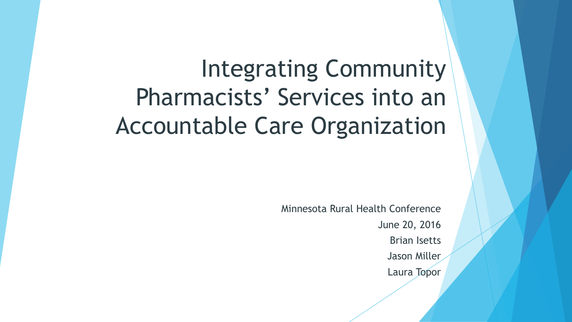# Integrating Community Pharmacists' Services into an Accountable Care Organization

Minnesota Rural Health Conference June 20, 2016 Brian Isetts Jason Miller Laura Topor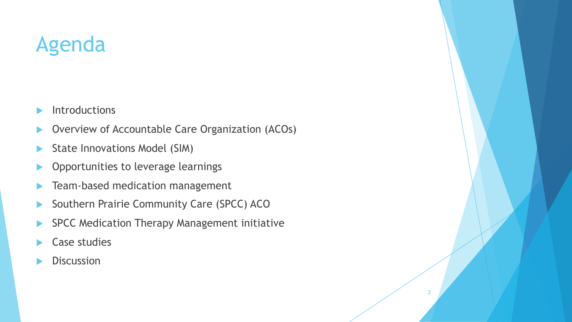## Agenda

- $\blacktriangleright$  Introductions
- Overview of Accountable Care Organization (ACOs)
- State Innovations Model (SIM)
- $\blacktriangleright$  Opportunities to leverage learnings
- Team-based medication management
- ▶ Southern Prairie Community Care (SPCC) ACO
- **EXPCC Medication Therapy Management initiative**

- **Case studies**
- **Discussion**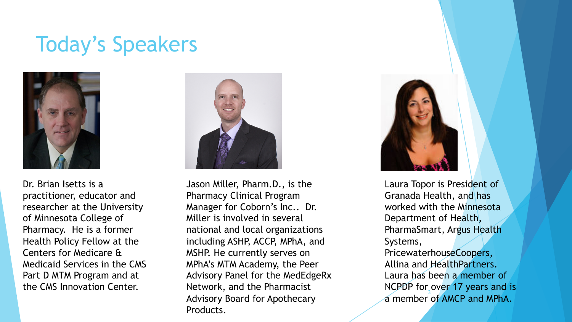#### Today's Speakers



Dr. Brian Isetts is a practitioner, educator and researcher at the University of Minnesota College of Pharmacy. He is a former Health Policy Fellow at the Centers for Medicare & Medicaid Services in the CMS Part D MTM Program and at the CMS Innovation Center.



Jason Miller, Pharm.D., is the Pharmacy Clinical Program Manager for Coborn's Inc.. Dr. Miller is involved in several national and local organizations including ASHP, ACCP, MPhA, and MSHP. He currently serves on MPhA's MTM Academy, the Peer Advisory Panel for the MedEdgeRx Network, and the Pharmacist Advisory Board for Apothecary Products.



a member of AMCP and MPhA. Laura Topor is President of Granada Health, and has worked with the Minnesota Department of Health, PharmaSmart, Argus Health Systems, PricewaterhouseCoopers, Allina and HealthPartners. Laura has been a member of NCPDP for over 17 years and is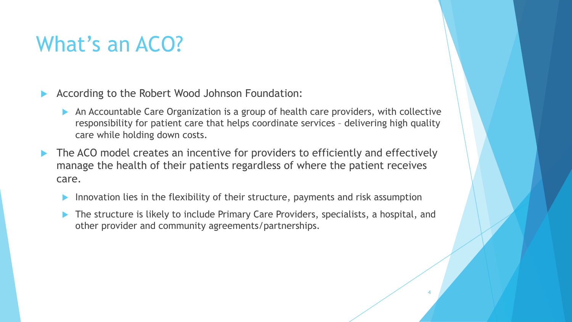## What's an ACO?

- $\blacktriangleright$  According to the Robert Wood Johnson Foundation:
	- An Accountable Care Organization is a group of health care providers, with collective responsibility for patient care that helps coordinate services – delivering high quality care while holding down costs.
- $\blacktriangleright$  The ACO model creates an incentive for providers to efficiently and effectively manage the health of their patients regardless of where the patient receives care.
	- Innovation lies in the flexibility of their structure, payments and risk assumption
	- The structure is likely to include Primary Care Providers, specialists, a hospital, and other provider and community agreements/partnerships.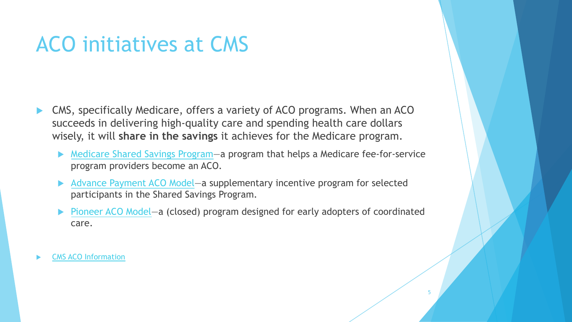#### ACO initiatives at CMS

- CMS, specifically Medicare, offers a variety of ACO programs. When an ACO succeeds in delivering high-quality care and spending health care dollars wisely, it will **share in the savings** it achieves for the Medicare program.
	- ▶ Medicare Shared Savings Program a program that helps a Medicare fee-for-service program providers become an ACO.
	- ▶ Advance Payment ACO Model—a supplementary incentive program for selected participants in the Shared Savings Program.
	- Pioneer ACO Model—a (closed) program designed for early adopters of coordinated care.

5

**CMS ACO Information**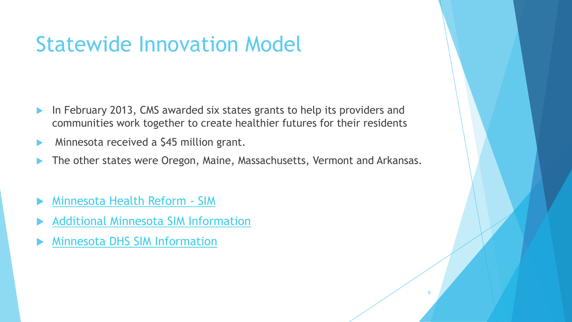#### Statewide Innovation Model

- In February 2013, CMS awarded six states grants to help its providers and communities work together to create healthier futures for their residents
- Minnesota received a \$45 million grant.
- The other states were Oregon, Maine, Massachusetts, Vermont and Arkansas.

- Minnesota Health Reform SIM
- **Additional Minnesota SIM Information**
- **Minnesota DHS SIM Information**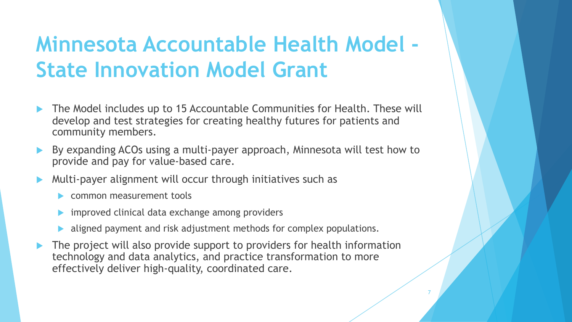## **Minnesota Accountable Health Model - State Innovation Model Grant**

- The Model includes up to 15 Accountable Communities for Health. These will develop and test strategies for creating healthy futures for patients and community members.
- By expanding ACOs using a multi-payer approach, Minnesota will test how to provide and pay for value-based care.
- Multi-payer alignment will occur through initiatives such as
	- common measurement tools
	- improved clinical data exchange among providers
	- aligned payment and risk adjustment methods for complex populations.
- The project will also provide support to providers for health information technology and data analytics, and practice transformation to more effectively deliver high-quality, coordinated care.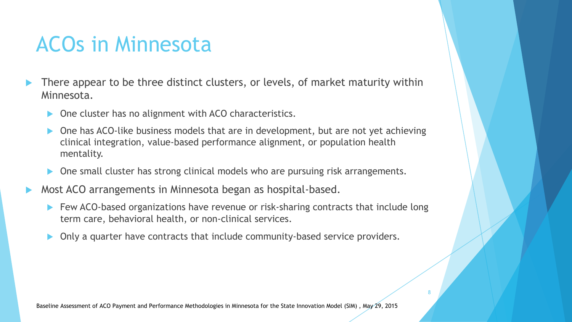## ACOs in Minnesota

- There appear to be three distinct clusters, or levels, of market maturity within Minnesota.
	- One cluster has no alignment with ACO characteristics.
	- One has ACO-like business models that are in development, but are not yet achieving clinical integration, value-based performance alignment, or population health mentality.
	- One small cluster has strong clinical models who are pursuing risk arrangements.
- Most ACO arrangements in Minnesota began as hospital-based.
	- $\blacktriangleright$  Few ACO-based organizations have revenue or risk-sharing contracts that include long term care, behavioral health, or non-clinical services.

8

Only a quarter have contracts that include community-based service providers.

Baseline Assessment of ACO Payment and Performance Methodologies in Minnesota for the State Innovation Model (SIM) , May 29, 2015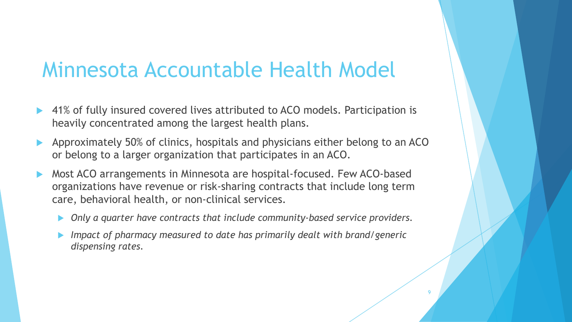#### Minnesota Accountable Health Model

- 41% of fully insured covered lives attributed to ACO models. Participation is heavily concentrated among the largest health plans.
- Approximately 50% of clinics, hospitals and physicians either belong to an ACO or belong to a larger organization that participates in an ACO.
- Most ACO arrangements in Minnesota are hospital-focused. Few ACO-based organizations have revenue or risk-sharing contracts that include long term care, behavioral health, or non-clinical services.
	- ▶ Only a quarter have contracts that include community-based service providers.
	- *Impact of pharmacy measured to date has primarily dealt with brand/generic dispensing rates.*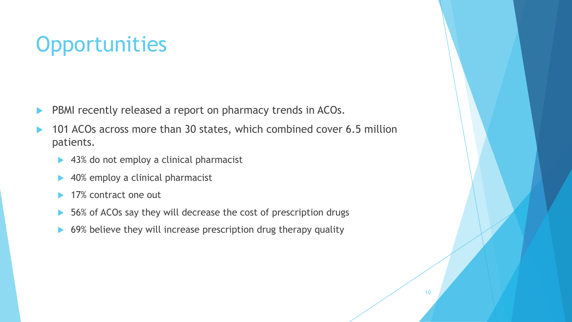## **Opportunities**

- **EXECUTE:** PBMI recently released a report on pharmacy trends in ACOs.
- 101 ACOs across more than 30 states, which combined cover 6.5 million patients.
	- $\blacktriangleright$  43% do not employ a clinical pharmacist
	- 40% employ a clinical pharmacist
	- 17% contract one out
	- $\triangleright$  56% of ACOs say they will decrease the cost of prescription drugs
	- 69% believe they will increase prescription drug therapy quality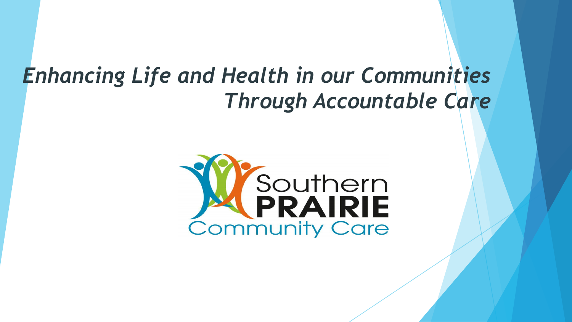#### *Enhancing Life and Health in our Communities Through Accountable Care*

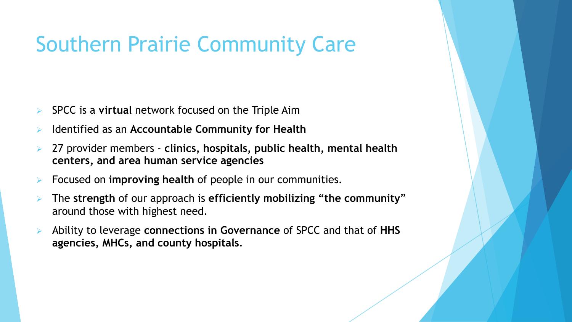#### Southern Prairie Community Care

- Ø SPCC is a **virtual** network focused on the Triple Aim
- Ø Identified as an **Accountable Community for Health**
- Ø 27 provider members **clinics, hospitals, public health, mental health centers, and area human service agencies**
- Ø Focused on **improving health** of people in our communities.
- Ø The **strength** of our approach is **efficiently mobilizing "the community**" around those with highest need.
- Ø Ability to leverage **connections in Governance** of SPCC and that of **HHS agencies, MHCs, and county hospitals**.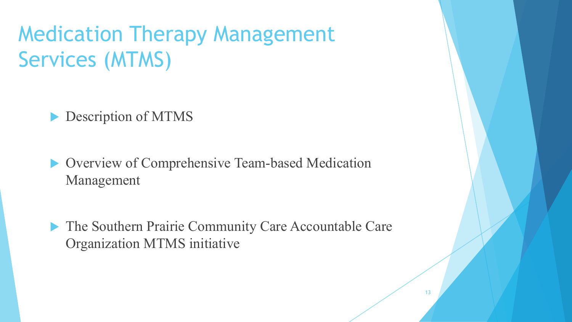Medication Therapy Management Services (MTMS)

#### $\triangleright$  Description of MTMS

**D** Overview of Comprehensive Team-based Medication Management

**The Southern Prairie Community Care Accountable Care** Organization MTMS initiative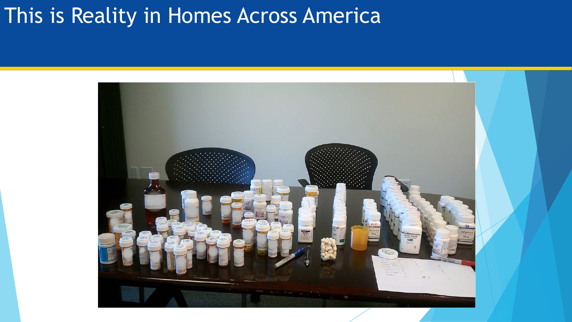#### This is Reality in Homes Across America

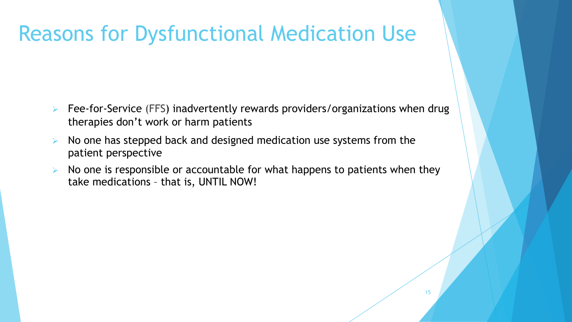#### Reasons for Dysfunctional Medication Use

- Ø Fee-for-Service (FFS) inadvertently rewards providers/organizations when drug therapies don't work or harm patients
- $\triangleright$  No one has stepped back and designed medication use systems from the patient perspective
- Ø No one is responsible or accountable for what happens to patients when they take medications – that is, UNTIL NOW!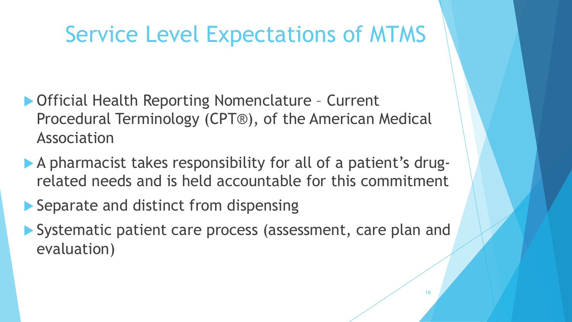## Service Level Expectations of MTMS

- ▶ Official Health Reporting Nomenclature Current Procedural Terminology (CPT®), of the American Medical Association
- A pharmacist takes responsibility for all of a patient's drugrelated needs and is held accountable for this commitment
- $\blacktriangleright$  Separate and distinct from dispensing
- ▶ Systematic patient care process (assessment, care plan and evaluation)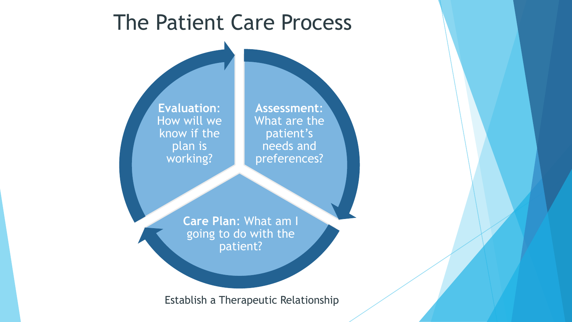

Establish a Therapeutic Relationship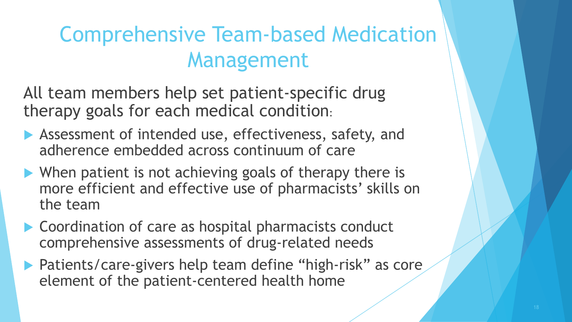## Comprehensive Team-based Medication Management

All team members help set patient-specific drug therapy goals for each medical condition:

- $\blacktriangleright$  Assessment of intended use, effectiveness, safety, and adherence embedded across continuum of care
- $\blacktriangleright$  When patient is not achieving goals of therapy there is more efficient and effective use of pharmacists' skills on the team
- $\blacktriangleright$  Coordination of care as hospital pharmacists conduct comprehensive assessments of drug-related needs
- **Patients/care-givers help team define "high-risk" as core** element of the patient-centered health home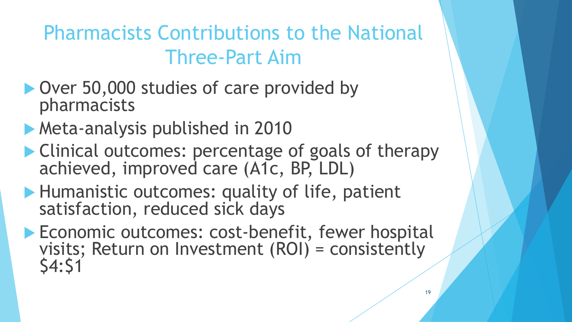Pharmacists Contributions to the National Three-Part Aim

- ▶ Over 50,000 studies of care provided by pharmacists
- **Meta-analysis published in 2010**
- $\blacktriangleright$  Clinical outcomes: percentage of goals of therapy achieved, improved care (A1c, BP, LDL)
- ▶ Humanistic outcomes: quality of life, patient satisfaction, reduced sick days
- **Economic outcomes: cost-benefit, fewer hospital visits; Return on Investment (ROI) = consistently** \$4:\$1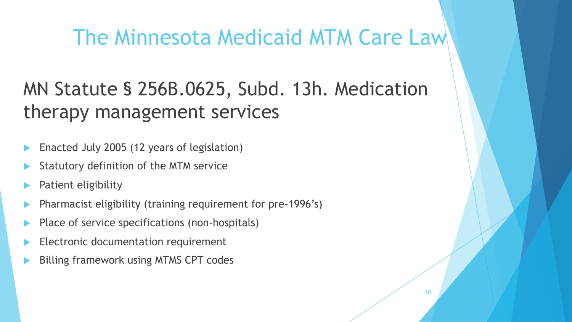#### The Minnesota Medicaid MTM Care Law

#### MN Statute § 256B.0625, Subd. 13h. Medication therapy management services

- Enacted July 2005 (12 years of legislation)
- Statutory definition of the MTM service
- Patient eligibility
- Pharmacist eligibility (training requirement for pre-1996's)
- Place of service specifications (non-hospitals)
- Electronic documentation requirement
- Billing framework using MTMS CPT codes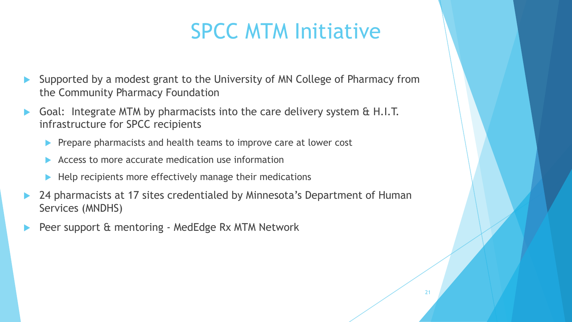#### SPCC MTM Initiative

- Supported by a modest grant to the University of MN College of Pharmacy from the Community Pharmacy Foundation
- Goal: Integrate MTM by pharmacists into the care delivery system & H.I.T. infrastructure for SPCC recipients
	- Prepare pharmacists and health teams to improve care at lower cost
	- Access to more accurate medication use information
	- Help recipients more effectively manage their medications
- 24 pharmacists at 17 sites credentialed by Minnesota's Department of Human Services (MNDHS)
- Peer support & mentoring MedEdge Rx MTM Network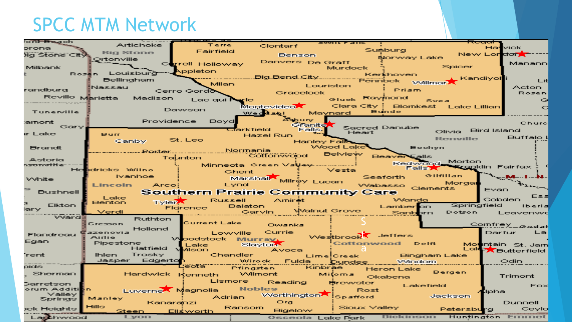#### SPCC MTM Network

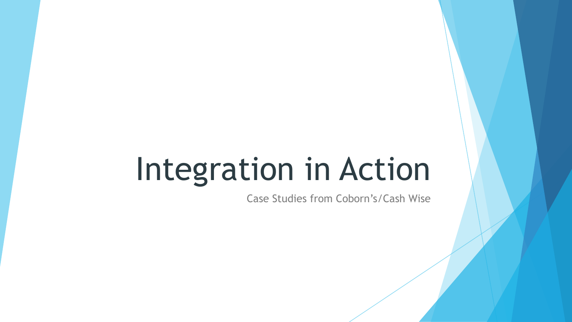# Integration in Action

Case Studies from Coborn's/Cash Wise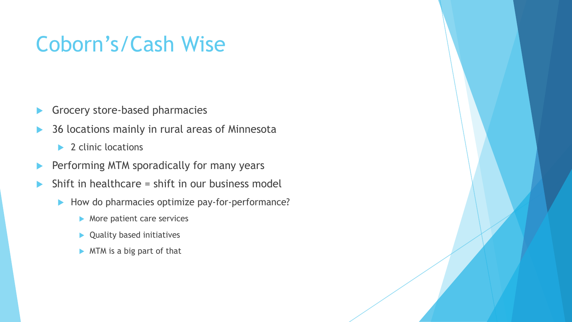#### Coborn's/Cash Wise

- $\blacktriangleright$  Grocery store-based pharmacies
- 36 locations mainly in rural areas of Minnesota
	- $\blacktriangleright$  2 clinic locations
- $\blacktriangleright$  Performing MTM sporadically for many years
- Shift in healthcare  $=$  shift in our business model
	- $\blacktriangleright$  How do pharmacies optimize pay-for-performance?
		- $\blacktriangleright$  More patient care services
		- $\blacktriangleright$  Quality based initiatives
		- $\triangleright$  MTM is a big part of that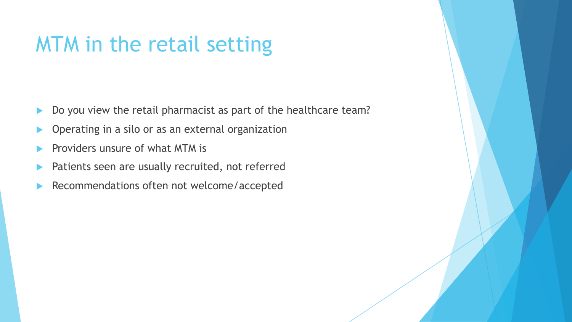## MTM in the retail setting

- $\blacktriangleright$  Do you view the retail pharmacist as part of the healthcare team?
- Operating in a silo or as an external organization
- Providers unsure of what MTM is
- Patients seen are usually recruited, not referred
- Recommendations often not welcome/accepted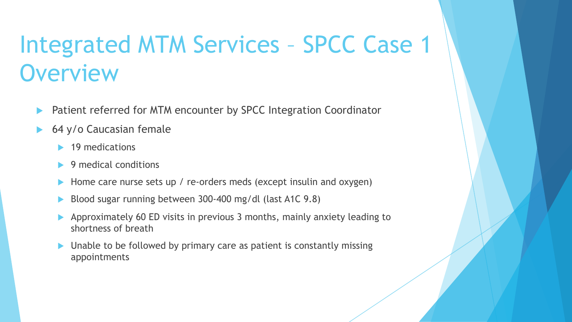## Integrated MTM Services – SPCC Case 1 **Overview**

- Patient referred for MTM encounter by SPCC Integration Coordinator
- 64 y/o Caucasian female
	- $\blacktriangleright$  19 medications
	- 9 medical conditions
	- Home care nurse sets up / re-orders meds (except insulin and oxygen)
	- Blood sugar running between 300-400 mg/dl (last A1C 9.8)
	- Approximately 60 ED visits in previous 3 months, mainly anxiety leading to shortness of breath
	- Unable to be followed by primary care as patient is constantly missing appointments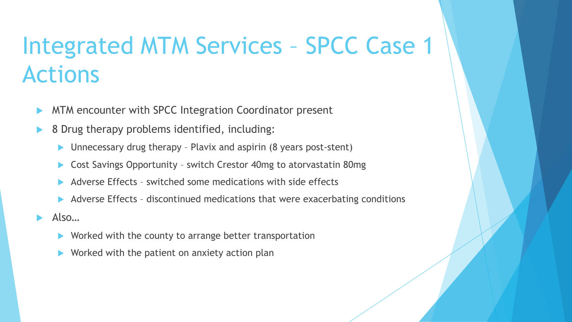## Integrated MTM Services – SPCC Case 1 Actions

- MTM encounter with SPCC Integration Coordinator present
- 8 Drug therapy problems identified, including:
	- $\blacktriangleright$  Unnecessary drug therapy Plavix and aspirin (8 years post-stent)
	- Cost Savings Opportunity switch Crestor 40mg to atorvastatin 80mg
	- Adverse Effects switched some medications with side effects
	- Adverse Effects discontinued medications that were exacerbating conditions

 $Also...$ 

- Worked with the county to arrange better transportation
- Worked with the patient on anxiety action plan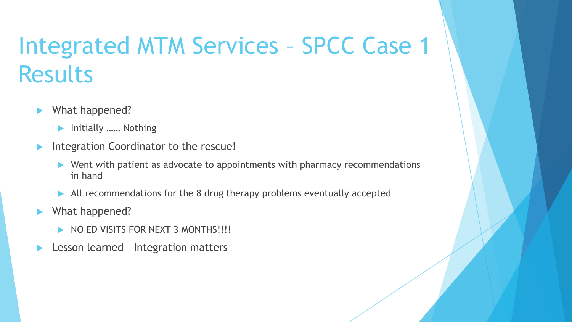## Integrated MTM Services – SPCC Case 1 **Results**

- What happened?
	- **Initially ……** Nothing
- Integration Coordinator to the rescue!
	- $\blacktriangleright$  Went with patient as advocate to appointments with pharmacy recommendations in hand
	- $\blacktriangleright$  All recommendations for the 8 drug therapy problems eventually accepted
- $\blacktriangleright$  What happened?
	- NO ED VISITS FOR NEXT 3 MONTHS!!!!
- Lesson learned Integration matters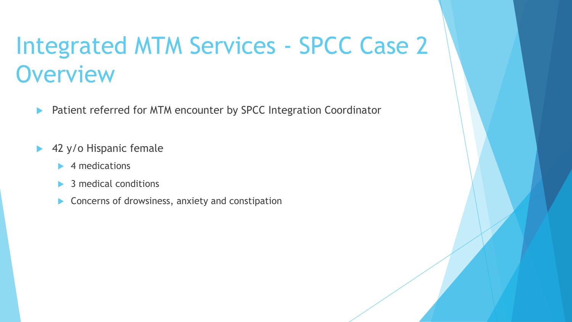## Integrated MTM Services - SPCC Case 2 **Overview**

- **EXECUTE: Patient referred for MTM encounter by SPCC Integration Coordinator**
- $\blacktriangleright$  42 y/o Hispanic female
	- $\blacktriangleright$  4 medications
	- 3 medical conditions
	- $\blacktriangleright$  Concerns of drowsiness, anxiety and constipation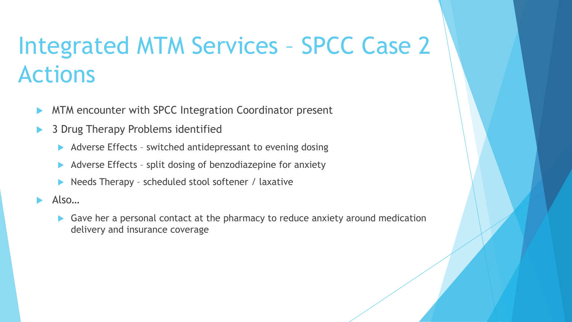## Integrated MTM Services – SPCC Case 2 Actions

- MTM encounter with SPCC Integration Coordinator present
- 3 Drug Therapy Problems identified
	- $\blacktriangleright$  Adverse Effects switched antidepressant to evening dosing
	- $\blacktriangleright$  Adverse Effects split dosing of benzodiazepine for anxiety
	- Needs Therapy scheduled stool softener / laxative
- Also…
	- Gave her a personal contact at the pharmacy to reduce anxiety around medication delivery and insurance coverage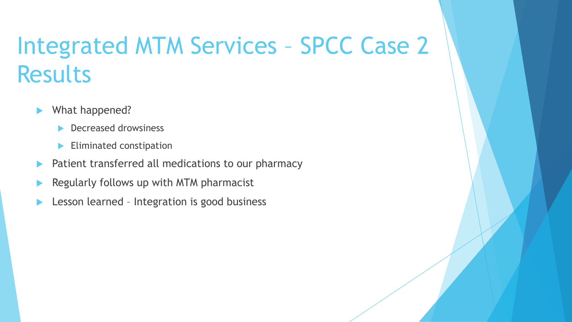## Integrated MTM Services – SPCC Case 2 Results

- $\blacktriangleright$  What happened?
	- $\blacktriangleright$  Decreased drowsiness
	- $\blacktriangleright$  Eliminated constipation
- Patient transferred all medications to our pharmacy
- Regularly follows up with MTM pharmacist
- Lesson learned Integration is good business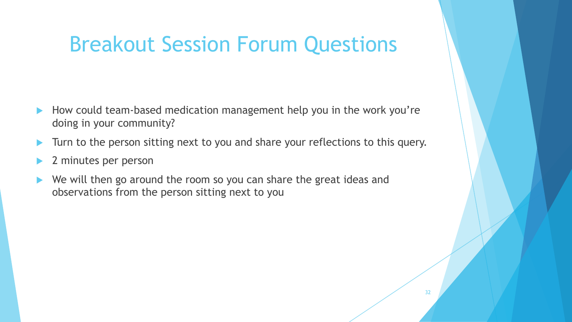#### Breakout Session Forum Questions

- How could team-based medication management help you in the work you're doing in your community?
- Turn to the person sitting next to you and share your reflections to this query.
- 2 minutes per person
- We will then go around the room so you can share the great ideas and observations from the person sitting next to you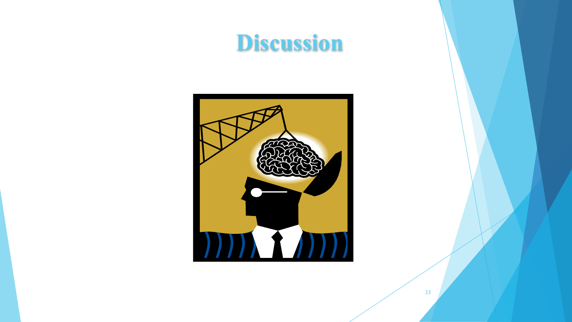## **Discussion**